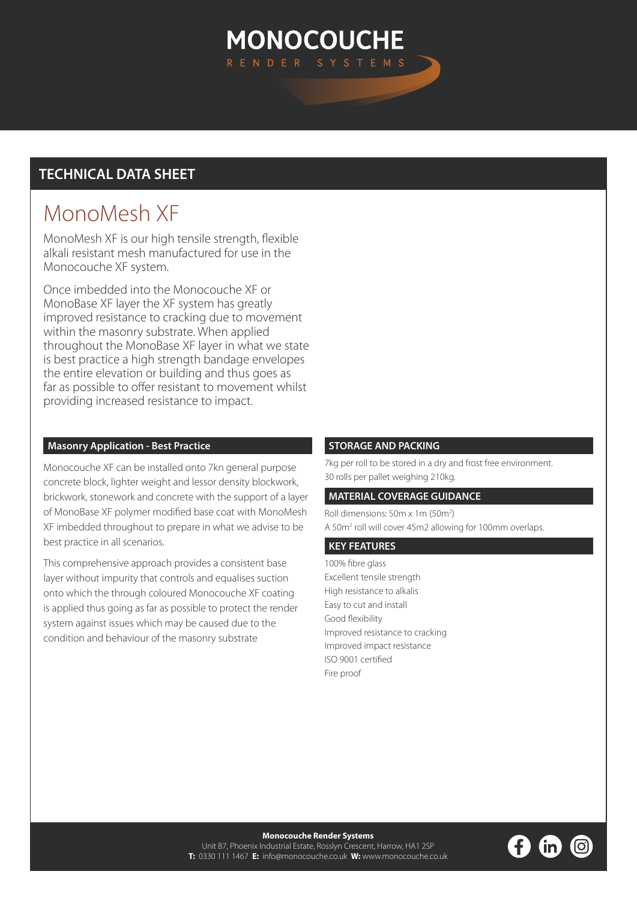## **MONOCOUCHE** RENDER SYSTEMS

### **TECHNICAL DATA SHEET**

# MonoMesh XF

MonoMesh XF is our high tensile strength, flexible alkali resistant mesh manufactured for use in the Monocouche XF system.

Once imbedded into the Monocouche XF or MonoBase XF layer the XF system has greatly improved resistance to cracking due to movement within the masonry substrate. When applied throughout the MonoBase XF layer in what we state is best practice a high strength bandage envelopes the entire elevation or building and thus goes as far as possible to offer resistant to movement whilst providing increased resistance to impact.

#### **Masonry Application - Best Practice**

Monocouche XF can be installed onto 7kn general purpose concrete block, lighter weight and lessor density blockwork, brickwork, stonework and concrete with the support of a layer of MonoBase XF polymer modified base coat with MonoMesh XF imbedded throughout to prepare in what we advise to be best practice in all scenarios.

This comprehensive approach provides a consistent base layer without impurity that controls and equalises suction onto which the through coloured Monocouche XF coating is applied thus going as far as possible to protect the render system against issues which may be caused due to the condition and behaviour of the masonry substrate

#### **STORAGE AND PACKING**

7kg per roll to be stored in a dry and frost free environment. 30 rolls per pallet weighing 210kg.

#### **MATERIAL COVERAGE GUIDANCE**

Roll dimensions: 50m x 1m (50m<sup>2</sup>) A 50m<sup>2</sup> roll will cover 45m2 allowing for 100mm overlaps.

#### **KEY FEATURES**

100% fibre glass Excellent tensile strength High resistance to alkalis Easy to cut and install Good flexibility Improved resistance to cracking Improved impact resistance ISO 9001 certified Fire proof